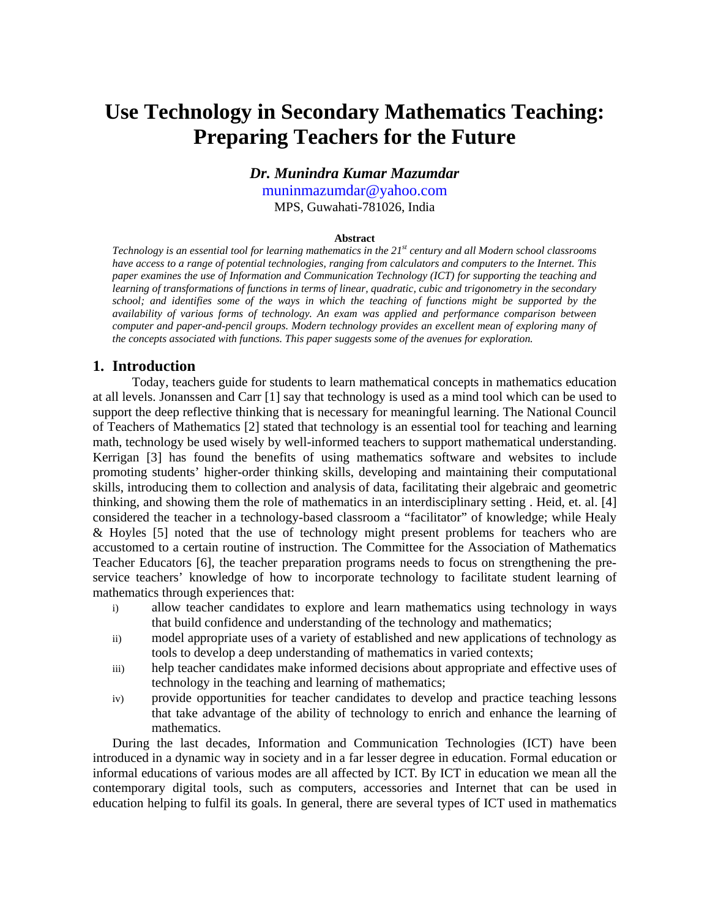# **Use Technology in Secondary Mathematics Teaching: Preparing Teachers for the Future**

## *Dr. Munindra Kumar Mazumdar*

muninmazumdar@yahoo.com

MPS, Guwahati-781026, India

#### **Abstract**

*Technology is an essential tool for learning mathematics in the 21st century and all Modern school classrooms have access to a range of potential technologies, ranging from calculators and computers to the Internet. This paper examines the use of Information and Communication Technology (ICT) for supporting the teaching and learning of transformations of functions in terms of linear, quadratic, cubic and trigonometry in the secondary school; and identifies some of the ways in which the teaching of functions might be supported by the availability of various forms of technology. An exam was applied and performance comparison between computer and paper-and-pencil groups. Modern technology provides an excellent mean of exploring many of the concepts associated with functions. This paper suggests some of the avenues for exploration.* 

## **1. Introduction**

Today, teachers guide for students to learn mathematical concepts in mathematics education at all levels. Jonanssen and Carr [1] say that technology is used as a mind tool which can be used to support the deep reflective thinking that is necessary for meaningful learning. The National Council of Teachers of Mathematics [2] stated that technology is an essential tool for teaching and learning math, technology be used wisely by well-informed teachers to support mathematical understanding. Kerrigan [3] has found the benefits of using mathematics software and websites to include promoting students' higher-order thinking skills, developing and maintaining their computational skills, introducing them to collection and analysis of data, facilitating their algebraic and geometric thinking, and showing them the role of mathematics in an interdisciplinary setting . Heid, et. al. [4] considered the teacher in a technology-based classroom a "facilitator" of knowledge; while Healy & Hoyles [5] noted that the use of technology might present problems for teachers who are accustomed to a certain routine of instruction. The Committee for the Association of Mathematics Teacher Educators [6], the teacher preparation programs needs to focus on strengthening the preservice teachers' knowledge of how to incorporate technology to facilitate student learning of mathematics through experiences that:

- i) allow teacher candidates to explore and learn mathematics using technology in ways that build confidence and understanding of the technology and mathematics;
- ii) model appropriate uses of a variety of established and new applications of technology as tools to develop a deep understanding of mathematics in varied contexts;
- iii) help teacher candidates make informed decisions about appropriate and effective uses of technology in the teaching and learning of mathematics;
- iv) provide opportunities for teacher candidates to develop and practice teaching lessons that take advantage of the ability of technology to enrich and enhance the learning of mathematics.

During the last decades, Information and Communication Technologies (ICT) have been introduced in a dynamic way in society and in a far lesser degree in education. Formal education or informal educations of various modes are all affected by ICT. By ICT in education we mean all the contemporary digital tools, such as computers, accessories and Internet that can be used in education helping to fulfil its goals. In general, there are several types of ICT used in mathematics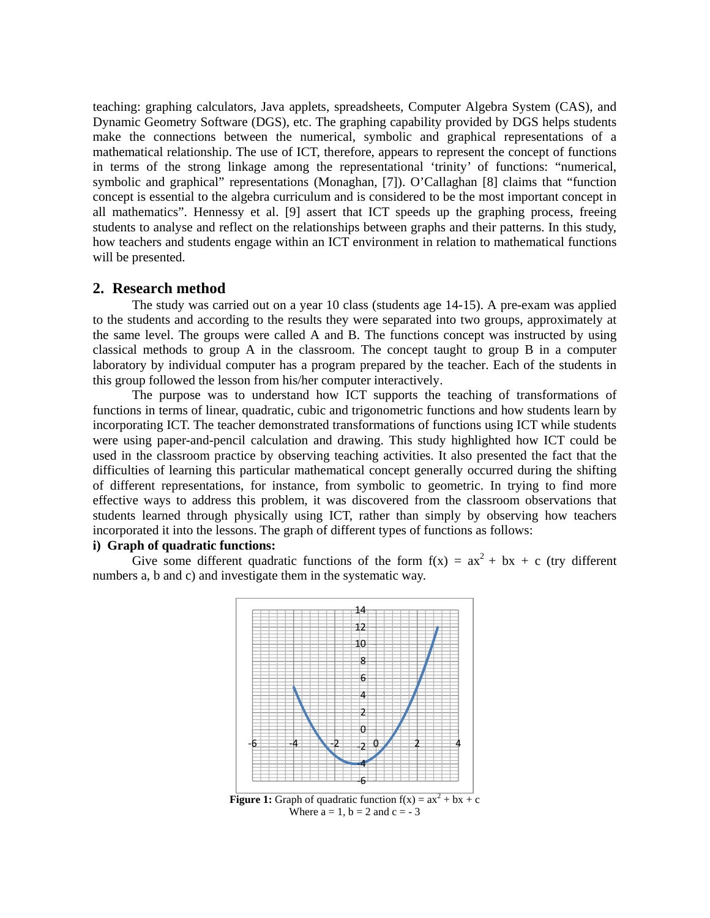teaching: graphing calculators, Java applets, spreadsheets, Computer Algebra System (CAS), and Dynamic Geometry Software (DGS), etc. The graphing capability provided by DGS helps students make the connections between the numerical, symbolic and graphical representations of a mathematical relationship. The use of ICT, therefore, appears to represent the concept of functions in terms of the strong linkage among the representational 'trinity' of functions: "numerical, symbolic and graphical" representations (Monaghan, [7]). O'Callaghan [8] claims that "function concept is essential to the algebra curriculum and is considered to be the most important concept in all mathematics". Hennessy et al. [9] assert that ICT speeds up the graphing process, freeing students to analyse and reflect on the relationships between graphs and their patterns. In this study, how teachers and students engage within an ICT environment in relation to mathematical functions will be presented.

### **2. Research method**

The study was carried out on a year 10 class (students age 14-15). A pre-exam was applied to the students and according to the results they were separated into two groups, approximately at the same level. The groups were called A and B. The functions concept was instructed by using classical methods to group A in the classroom. The concept taught to group B in a computer laboratory by individual computer has a program prepared by the teacher. Each of the students in this group followed the lesson from his/her computer interactively.

The purpose was to understand how ICT supports the teaching of transformations of functions in terms of linear, quadratic, cubic and trigonometric functions and how students learn by incorporating ICT. The teacher demonstrated transformations of functions using ICT while students were using paper-and-pencil calculation and drawing. This study highlighted how ICT could be used in the classroom practice by observing teaching activities. It also presented the fact that the difficulties of learning this particular mathematical concept generally occurred during the shifting of different representations, for instance, from symbolic to geometric. In trying to find more effective ways to address this problem, it was discovered from the classroom observations that students learned through physically using ICT, rather than simply by observing how teachers incorporated it into the lessons. The graph of different types of functions as follows:

#### **i) Graph of quadratic functions:**

Give some different quadratic functions of the form  $f(x) = ax^2 + bx + c$  (try different numbers a, b and c) and investigate them in the systematic way.



Where  $a = 1$ ,  $b = 2$  and  $c = -3$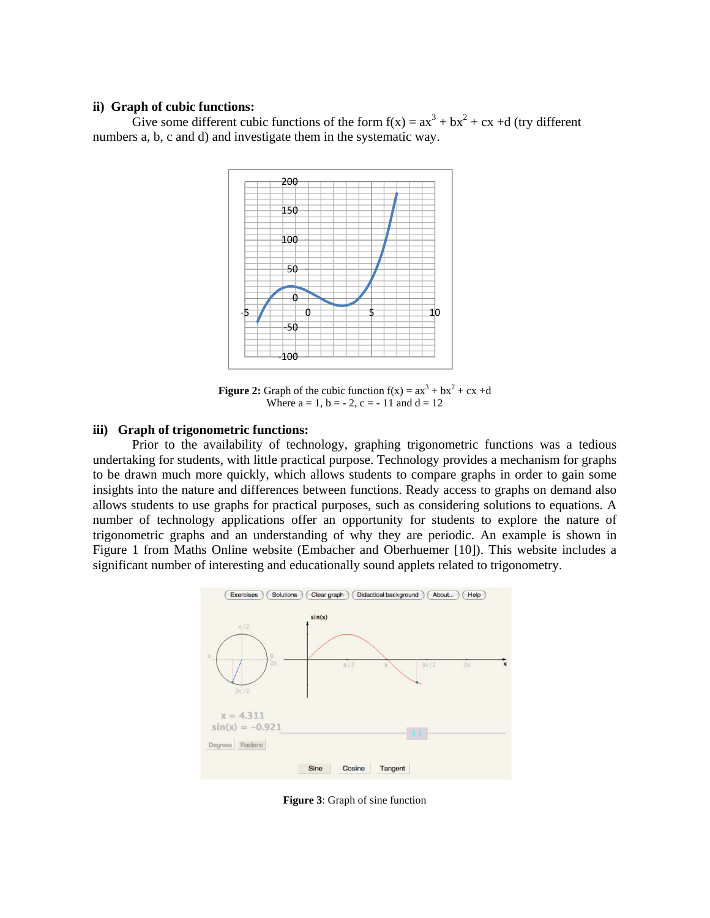#### **ii) Graph of cubic functions:**

Give some different cubic functions of the form  $f(x) = ax^3 + bx^2 + cx + d$  (try different numbers a, b, c and d) and investigate them in the systematic way.



**Figure 2:** Graph of the cubic function  $f(x) = ax^3 + bx^2 + cx + d$ Where  $a = 1$ ,  $b = -2$ ,  $c = -11$  and  $d = 12$ 

## **iii) Graph of trigonometric functions:**

Prior to the availability of technology, graphing trigonometric functions was a tedious undertaking for students, with little practical purpose. Technology provides a mechanism for graphs to be drawn much more quickly, which allows students to compare graphs in order to gain some insights into the nature and differences between functions. Ready access to graphs on demand also allows students to use graphs for practical purposes, such as considering solutions to equations. A number of technology applications offer an opportunity for students to explore the nature of trigonometric graphs and an understanding of why they are periodic. An example is shown in Figure 1 from Maths Online website (Embacher and Oberhuemer [10]). This website includes a significant number of interesting and educationally sound applets related to trigonometry.



**Figure 3**: Graph of sine function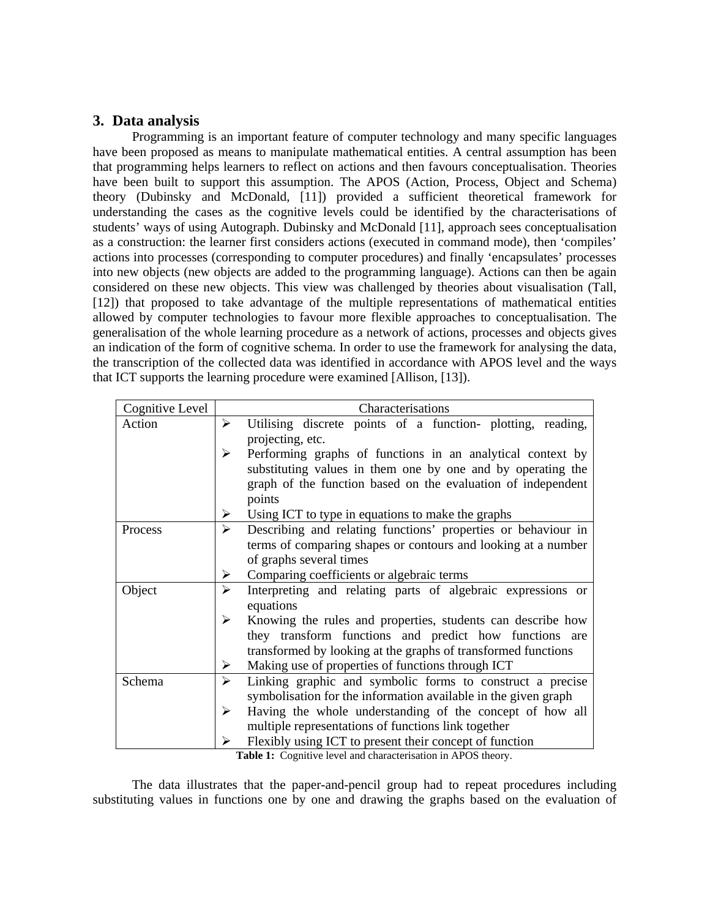# **3. Data analysis**

Programming is an important feature of computer technology and many specific languages have been proposed as means to manipulate mathematical entities. A central assumption has been that programming helps learners to reflect on actions and then favours conceptualisation. Theories have been built to support this assumption. The APOS (Action, Process, Object and Schema) theory (Dubinsky and McDonald, [11]) provided a sufficient theoretical framework for understanding the cases as the cognitive levels could be identified by the characterisations of students' ways of using Autograph. Dubinsky and McDonald [11], approach sees conceptualisation as a construction: the learner first considers actions (executed in command mode), then 'compiles' actions into processes (corresponding to computer procedures) and finally 'encapsulates' processes into new objects (new objects are added to the programming language). Actions can then be again considered on these new objects. This view was challenged by theories about visualisation (Tall, [12]) that proposed to take advantage of the multiple representations of mathematical entities allowed by computer technologies to favour more flexible approaches to conceptualisation. The generalisation of the whole learning procedure as a network of actions, processes and objects gives an indication of the form of cognitive schema. In order to use the framework for analysing the data, the transcription of the collected data was identified in accordance with APOS level and the ways that ICT supports the learning procedure were examined [Allison, [13]).

| Cognitive Level | Characterisations                                                                                                                                                                              |  |  |
|-----------------|------------------------------------------------------------------------------------------------------------------------------------------------------------------------------------------------|--|--|
| Action          | ≻<br>Utilising discrete points of a function- plotting, reading,                                                                                                                               |  |  |
|                 | projecting, etc.                                                                                                                                                                               |  |  |
|                 | Performing graphs of functions in an analytical context by<br>≻<br>substituting values in them one by one and by operating the<br>graph of the function based on the evaluation of independent |  |  |
|                 |                                                                                                                                                                                                |  |  |
|                 |                                                                                                                                                                                                |  |  |
|                 | points                                                                                                                                                                                         |  |  |
|                 | Using ICT to type in equations to make the graphs<br>➤                                                                                                                                         |  |  |
| Process         | Describing and relating functions' properties or behaviour in<br>➤                                                                                                                             |  |  |
|                 | terms of comparing shapes or contours and looking at a number                                                                                                                                  |  |  |
|                 | of graphs several times                                                                                                                                                                        |  |  |
|                 | Comparing coefficients or algebraic terms<br>➤                                                                                                                                                 |  |  |
| Object          | Interpreting and relating parts of algebraic expressions or<br>≻                                                                                                                               |  |  |
|                 | equations                                                                                                                                                                                      |  |  |
|                 | Knowing the rules and properties, students can describe how<br>⋗                                                                                                                               |  |  |
|                 | they transform functions and predict how functions are                                                                                                                                         |  |  |
|                 | transformed by looking at the graphs of transformed functions                                                                                                                                  |  |  |
|                 | Making use of properties of functions through ICT<br>➤                                                                                                                                         |  |  |
| Schema          | Linking graphic and symbolic forms to construct a precise<br>➤                                                                                                                                 |  |  |
|                 | symbolisation for the information available in the given graph                                                                                                                                 |  |  |
|                 | Having the whole understanding of the concept of how all<br>≻                                                                                                                                  |  |  |
|                 | multiple representations of functions link together                                                                                                                                            |  |  |
|                 | Flexibly using ICT to present their concept of function                                                                                                                                        |  |  |

**Table 1:** Cognitive level and characterisation in APOS theory.

The data illustrates that the paper-and-pencil group had to repeat procedures including substituting values in functions one by one and drawing the graphs based on the evaluation of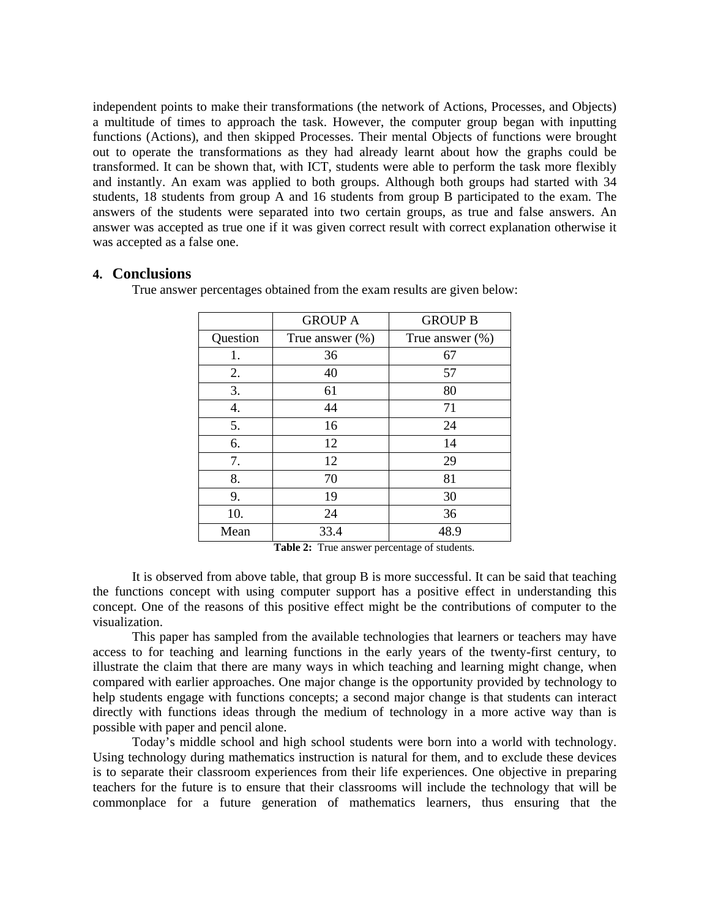independent points to make their transformations (the network of Actions, Processes, and Objects) a multitude of times to approach the task. However, the computer group began with inputting functions (Actions), and then skipped Processes. Their mental Objects of functions were brought out to operate the transformations as they had already learnt about how the graphs could be transformed. It can be shown that, with ICT, students were able to perform the task more flexibly and instantly. An exam was applied to both groups. Although both groups had started with 34 students, 18 students from group A and 16 students from group B participated to the exam. The answers of the students were separated into two certain groups, as true and false answers. An answer was accepted as true one if it was given correct result with correct explanation otherwise it was accepted as a false one.

## **4. Conclusions**

True answer percentages obtained from the exam results are given below:

|          | <b>GROUP A</b>      | <b>GROUP B</b>      |
|----------|---------------------|---------------------|
| Question | True answer $(\% )$ | True answer $(\% )$ |
| 1.       | 36                  | 67                  |
| 2.       | 40                  | 57                  |
| 3.       | 61                  | 80                  |
| 4.       | 44                  | 71                  |
| 5.       | 16                  | 24                  |
| 6.       | 12                  | 14                  |
| 7.       | 12                  | 29                  |
| 8.       | 70                  | 81                  |
| 9.       | 19                  | 30                  |
| 10.      | 24                  | 36                  |
| Mean     | 33.4                | 48.9                |

**Table 2:** True answer percentage of students.

It is observed from above table, that group B is more successful. It can be said that teaching the functions concept with using computer support has a positive effect in understanding this concept. One of the reasons of this positive effect might be the contributions of computer to the visualization.

This paper has sampled from the available technologies that learners or teachers may have access to for teaching and learning functions in the early years of the twenty-first century, to illustrate the claim that there are many ways in which teaching and learning might change, when compared with earlier approaches. One major change is the opportunity provided by technology to help students engage with functions concepts; a second major change is that students can interact directly with functions ideas through the medium of technology in a more active way than is possible with paper and pencil alone.

 Today's middle school and high school students were born into a world with technology. Using technology during mathematics instruction is natural for them, and to exclude these devices is to separate their classroom experiences from their life experiences. One objective in preparing teachers for the future is to ensure that their classrooms will include the technology that will be commonplace for a future generation of mathematics learners, thus ensuring that the